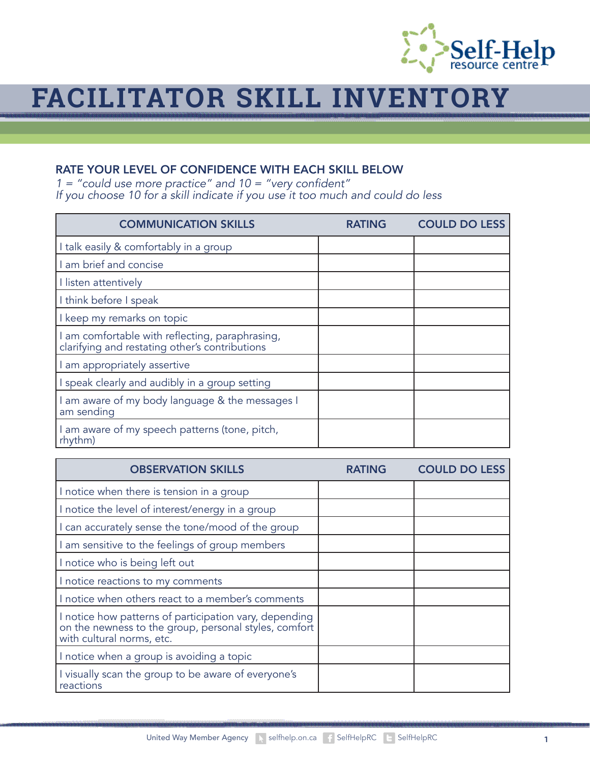

## **FACILITATOR SKILL INVENTORY**

## RATE YOUR LEVEL OF CONFIDENCE WITH EACH SKILL BELOW

 $1 =$  "could use more practice" and  $10 =$  "very confident" *If you choose 10 for a skill indicate if you use it too much and could do less*

| <b>COMMUNICATION SKILLS</b>                                                                       | RATING | <b>COULD DO LESS</b> |
|---------------------------------------------------------------------------------------------------|--------|----------------------|
| I talk easily & comfortably in a group                                                            |        |                      |
| I am brief and concise                                                                            |        |                      |
| I listen attentively                                                                              |        |                      |
| I think before I speak                                                                            |        |                      |
| I keep my remarks on topic                                                                        |        |                      |
| I am comfortable with reflecting, paraphrasing,<br>clarifying and restating other's contributions |        |                      |
| I am appropriately assertive                                                                      |        |                      |
| I speak clearly and audibly in a group setting                                                    |        |                      |
| I am aware of my body language & the messages I<br>am sending                                     |        |                      |
| I am aware of my speech patterns (tone, pitch,<br>rhythm)                                         |        |                      |

| <b>OBSERVATION SKILLS</b>                                                                                                                    | <b>COULD DO LESS</b> |
|----------------------------------------------------------------------------------------------------------------------------------------------|----------------------|
| I notice when there is tension in a group                                                                                                    |                      |
| I notice the level of interest/energy in a group                                                                                             |                      |
| I can accurately sense the tone/mood of the group                                                                                            |                      |
| I am sensitive to the feelings of group members                                                                                              |                      |
| I notice who is being left out                                                                                                               |                      |
| I notice reactions to my comments                                                                                                            |                      |
| I notice when others react to a member's comments                                                                                            |                      |
| I notice how patterns of participation vary, depending<br>on the newness to the group, personal styles, comfort<br>with cultural norms, etc. |                      |
| I notice when a group is avoiding a topic                                                                                                    |                      |
| I visually scan the group to be aware of everyone's<br>reactions                                                                             |                      |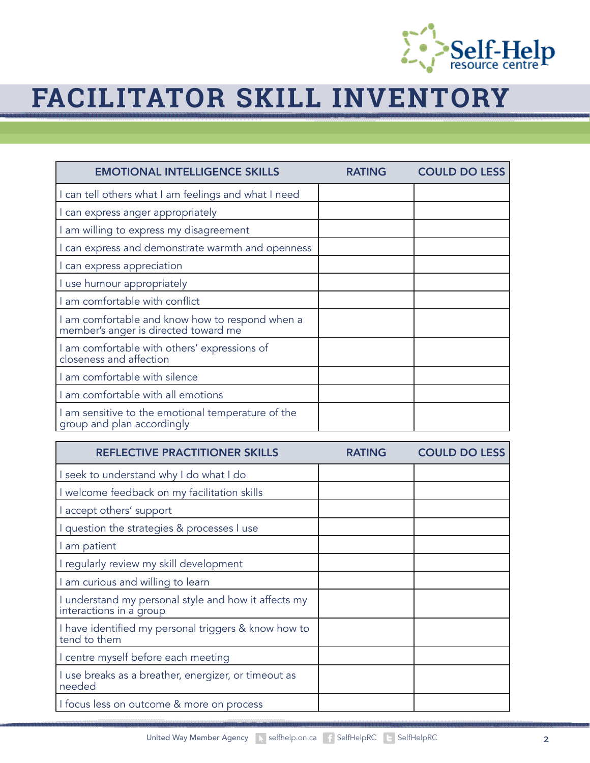

## **FACILITATOR SKILL INVENTORY**

| <b>EMOTIONAL INTELLIGENCE SKILLS</b>                                                    | <b>RATING</b> | <b>COULD DO LESS</b> |
|-----------------------------------------------------------------------------------------|---------------|----------------------|
| I can tell others what I am feelings and what I need                                    |               |                      |
| I can express anger appropriately                                                       |               |                      |
| am willing to express my disagreement                                                   |               |                      |
| can express and demonstrate warmth and openness                                         |               |                      |
| I can express appreciation                                                              |               |                      |
| I use humour appropriately                                                              |               |                      |
| am comfortable with conflict                                                            |               |                      |
| I am comfortable and know how to respond when a<br>member's anger is directed toward me |               |                      |
| I am comfortable with others' expressions of<br>closeness and affection                 |               |                      |
| am comfortable with silence                                                             |               |                      |
| am comfortable with all emotions                                                        |               |                      |
| I am sensitive to the emotional temperature of the<br>group and plan accordingly        |               |                      |

| <b>REFLECTIVE PRACTITIONER SKILLS</b>                                           | <b>RATING</b> | <b>COULD DO LESS</b> |
|---------------------------------------------------------------------------------|---------------|----------------------|
| seek to understand why I do what I do                                           |               |                      |
| I welcome feedback on my facilitation skills                                    |               |                      |
| accept others' support                                                          |               |                      |
| I question the strategies & processes I use                                     |               |                      |
| I am patient                                                                    |               |                      |
| I regularly review my skill development                                         |               |                      |
| am curious and willing to learn                                                 |               |                      |
| I understand my personal style and how it affects my<br>interactions in a group |               |                      |
| I have identified my personal triggers & know how to<br>tend to them            |               |                      |
| I centre myself before each meeting                                             |               |                      |
| I use breaks as a breather, energizer, or timeout as<br>needed                  |               |                      |
| I focus less on outcome & more on process                                       |               |                      |